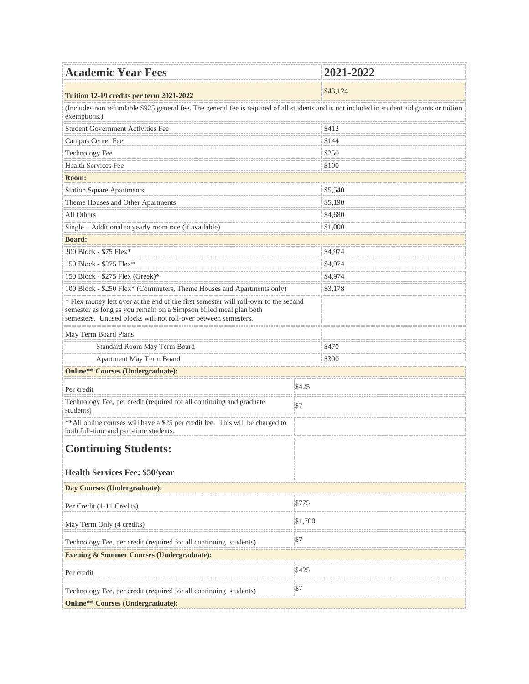| <b>Academic Year Fees</b>                                                                                                                                                                                                   |             | 2021-2022 |  |  |
|-----------------------------------------------------------------------------------------------------------------------------------------------------------------------------------------------------------------------------|-------------|-----------|--|--|
| Tuition 12-19 credits per term 2021-2022                                                                                                                                                                                    |             | \$43,124  |  |  |
| (Includes non refundable \$925 general fee. The general fee is required of all students and is not included in student aid grants or tuition<br>exemptions.)                                                                |             |           |  |  |
| Student Government Activities Fee                                                                                                                                                                                           |             | \$412     |  |  |
| Campus Center Fee                                                                                                                                                                                                           |             | \$144     |  |  |
| Technology Fee                                                                                                                                                                                                              |             | \$250     |  |  |
| <b>Health Services Fee</b>                                                                                                                                                                                                  |             | \$100     |  |  |
| Room:                                                                                                                                                                                                                       |             |           |  |  |
| <b>Station Square Apartments</b>                                                                                                                                                                                            |             | \$5,540   |  |  |
| Theme Houses and Other Apartments                                                                                                                                                                                           |             | \$5,198   |  |  |
| All Others                                                                                                                                                                                                                  |             | \$4,680   |  |  |
| Single - Additional to yearly room rate (if available)                                                                                                                                                                      |             | \$1,000   |  |  |
| <b>Board:</b>                                                                                                                                                                                                               |             |           |  |  |
| 200 Block - \$75 Flex*                                                                                                                                                                                                      |             | \$4,974   |  |  |
| 150 Block - \$275 Flex*                                                                                                                                                                                                     |             | \$4,974   |  |  |
| 150 Block - \$275 Flex (Greek)*                                                                                                                                                                                             |             | \$4,974   |  |  |
| 100 Block - \$250 Flex* (Commuters, Theme Houses and Apartments only)                                                                                                                                                       |             | \$3,178   |  |  |
| * Flex money left over at the end of the first semester will roll-over to the second<br>semester as long as you remain on a Simpson billed meal plan both<br>semesters. Unused blocks will not roll-over between semesters. |             |           |  |  |
| May Term Board Plans                                                                                                                                                                                                        |             |           |  |  |
| Standard Room May Term Board                                                                                                                                                                                                |             | \$470     |  |  |
| Apartment May Term Board                                                                                                                                                                                                    |             | \$300     |  |  |
| Online** Courses (Undergraduate):                                                                                                                                                                                           |             |           |  |  |
| Per credit                                                                                                                                                                                                                  | \$425       |           |  |  |
| Technology Fee, per credit (required for all continuing and graduate<br>students)                                                                                                                                           | \$7         |           |  |  |
| ** All online courses will have a \$25 per credit fee. This will be charged to<br>both full-time and part-time students.                                                                                                    |             |           |  |  |
| <b>Continuing Students:</b>                                                                                                                                                                                                 |             |           |  |  |
| <b>Health Services Fee: \$50/year</b>                                                                                                                                                                                       |             |           |  |  |
| Day Courses (Undergraduate):                                                                                                                                                                                                |             |           |  |  |
| Per Credit (1-11 Credits)                                                                                                                                                                                                   | \$775       |           |  |  |
| May Term Only (4 credits)                                                                                                                                                                                                   | \$1,700     |           |  |  |
| Technology Fee, per credit (required for all continuing students)                                                                                                                                                           | $\sqrt{57}$ |           |  |  |
| <b>Evening &amp; Summer Courses (Undergraduate):</b>                                                                                                                                                                        |             |           |  |  |
| Per credit                                                                                                                                                                                                                  | \$425       |           |  |  |
| Technology Fee, per credit (required for all continuing students)                                                                                                                                                           | \$7         |           |  |  |
| Online** Courses (Undergraduate):                                                                                                                                                                                           |             |           |  |  |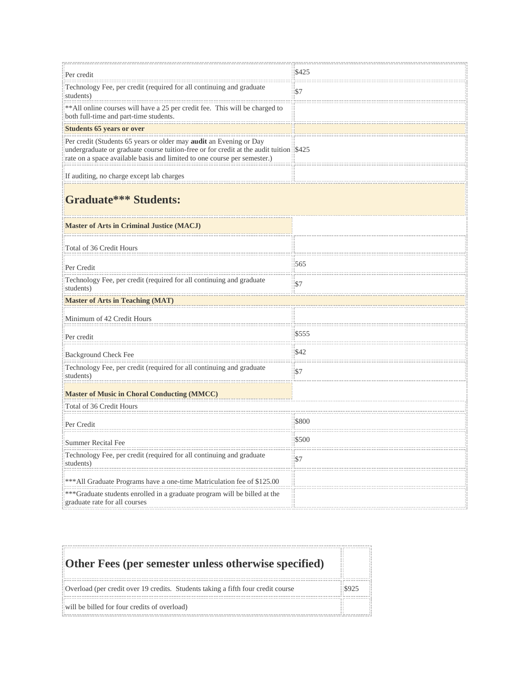| Per credit                                                                                                                                                                                                                               | \$425 |  |  |  |
|------------------------------------------------------------------------------------------------------------------------------------------------------------------------------------------------------------------------------------------|-------|--|--|--|
| Technology Fee, per credit (required for all continuing and graduate<br>students)                                                                                                                                                        | \$7   |  |  |  |
| ** All online courses will have a 25 per credit fee. This will be charged to<br>both full-time and part-time students.                                                                                                                   |       |  |  |  |
| <b>Students 65 years or over</b>                                                                                                                                                                                                         |       |  |  |  |
| Per credit (Students 65 years or older may audit an Evening or Day<br>undergraduate or graduate course tuition-free or for credit at the audit tuition \$425<br>rate on a space available basis and limited to one course per semester.) |       |  |  |  |
| If auditing, no charge except lab charges                                                                                                                                                                                                |       |  |  |  |
| <b>Graduate*** Students:</b>                                                                                                                                                                                                             |       |  |  |  |
| <b>Master of Arts in Criminal Justice (MACJ)</b>                                                                                                                                                                                         |       |  |  |  |
| Total of 36 Credit Hours                                                                                                                                                                                                                 |       |  |  |  |
| Per Credit                                                                                                                                                                                                                               | 565   |  |  |  |
| Technology Fee, per credit (required for all continuing and graduate<br>students)                                                                                                                                                        | \$7   |  |  |  |
| <b>Master of Arts in Teaching (MAT)</b>                                                                                                                                                                                                  |       |  |  |  |
| Minimum of 42 Credit Hours                                                                                                                                                                                                               |       |  |  |  |
| Per credit                                                                                                                                                                                                                               | \$555 |  |  |  |
| Background Check Fee                                                                                                                                                                                                                     | \$42  |  |  |  |
| Technology Fee, per credit (required for all continuing and graduate<br>students)                                                                                                                                                        | \$7   |  |  |  |
| <b>Master of Music in Choral Conducting (MMCC)</b>                                                                                                                                                                                       |       |  |  |  |
| Total of 36 Credit Hours                                                                                                                                                                                                                 |       |  |  |  |
| Per Credit                                                                                                                                                                                                                               | \$800 |  |  |  |
| Summer Recital Fee                                                                                                                                                                                                                       | \$500 |  |  |  |
| Technology Fee, per credit (required for all continuing and graduate<br>students)                                                                                                                                                        | \$7   |  |  |  |
| *** All Graduate Programs have a one-time Matriculation fee of \$125.00                                                                                                                                                                  |       |  |  |  |
| ***Graduate students enrolled in a graduate program will be billed at the<br>graduate rate for all courses                                                                                                                               |       |  |  |  |

| Other Fees (per semester unless otherwise specified)                             |               |
|----------------------------------------------------------------------------------|---------------|
| Overload (per credit over 19 credits. Students taking a fifth four credit course | $\sqrt{8925}$ |
| will be billed for four credits of overload)                                     |               |